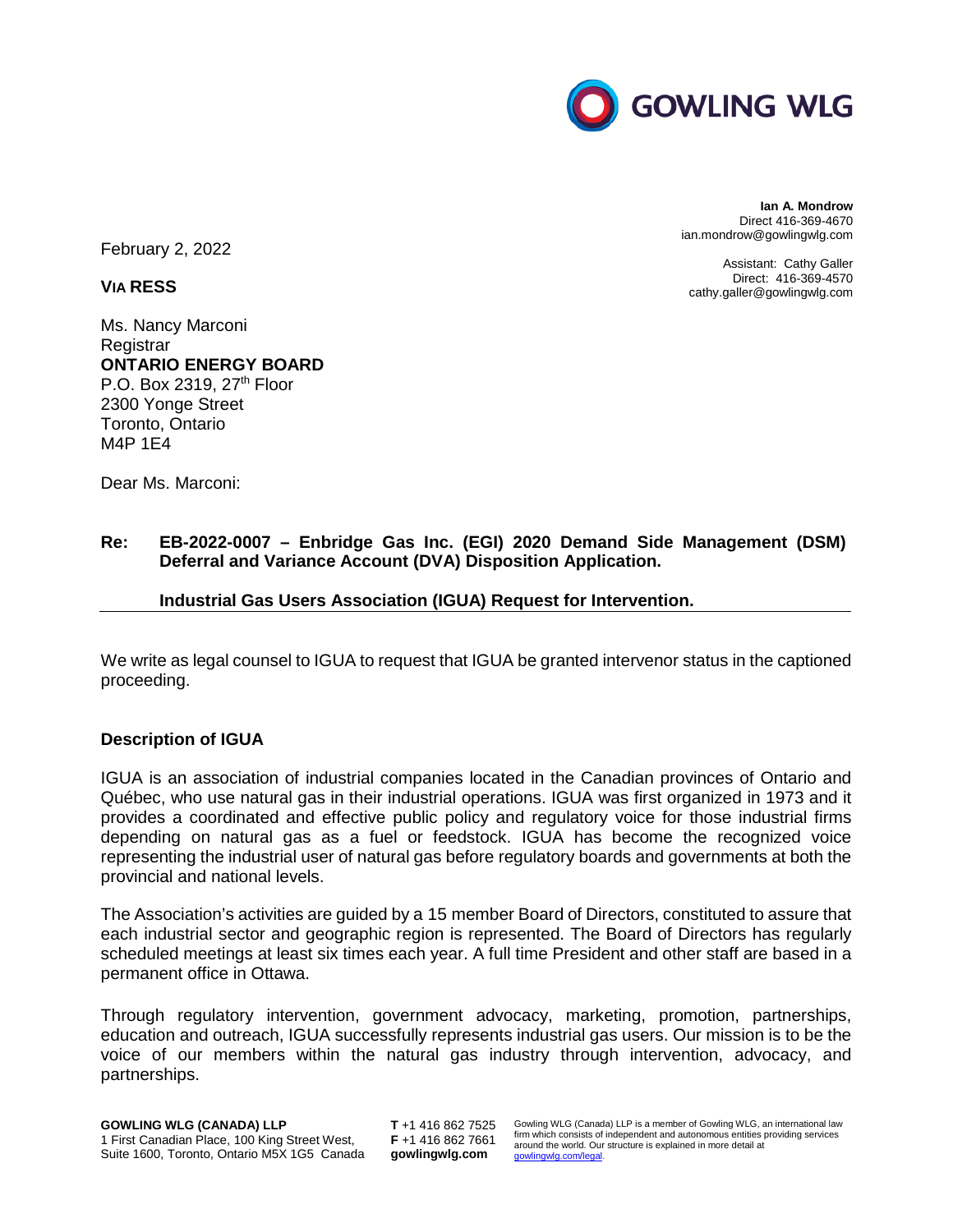

February 2, 2022

**VIA RESS**

Ms. Nancy Marconi **Registrar ONTARIO ENERGY BOARD**  P.O. Box 2319, 27<sup>th</sup> Floor 2300 Yonge Street Toronto, Ontario M4P 1E4

Dear Ms. Marconi:

# **Re: EB-2022-0007 – Enbridge Gas Inc. (EGI) 2020 Demand Side Management (DSM) Deferral and Variance Account (DVA) Disposition Application.**

## **Industrial Gas Users Association (IGUA) Request for Intervention.**

We write as legal counsel to IGUA to request that IGUA be granted intervenor status in the captioned proceeding.

## **Description of IGUA**

IGUA is an association of industrial companies located in the Canadian provinces of Ontario and Québec, who use natural gas in their industrial operations. IGUA was first organized in 1973 and it provides a coordinated and effective public policy and regulatory voice for those industrial firms depending on natural gas as a fuel or feedstock. IGUA has become the recognized voice representing the industrial user of natural gas before regulatory boards and governments at both the provincial and national levels.

The Association's activities are guided by a 15 member Board of Directors, constituted to assure that each industrial sector and geographic region is represented. The Board of Directors has regularly scheduled meetings at least six times each year. A full time President and other staff are based in a permanent office in Ottawa.

Through regulatory intervention, government advocacy, marketing, promotion, partnerships, education and outreach, IGUA successfully represents industrial gas users. Our mission is to be the voice of our members within the natural gas industry through intervention, advocacy, and partnerships.

1 First Canadian Place, 100 King Street West, Suite 1600, Toronto, Ontario M5X 1G5 Canada

**T** +1 416 862 7525 **F** +1 416 862 7661 **gowlingwlg.com** 

Gowling WLG (Canada) LLP is a member of Gowling WLG, an international law firm which consists of independent and autonomous entities providing services around the world. Our structure is explained in more detail at gow

**Ian A. Mondrow** Direct 416-369-4670 ian.mondrow@gowlingwlg.com

Assistant: Cathy Galler Direct: 416-369-4570 cathy.galler@gowlingwlg.com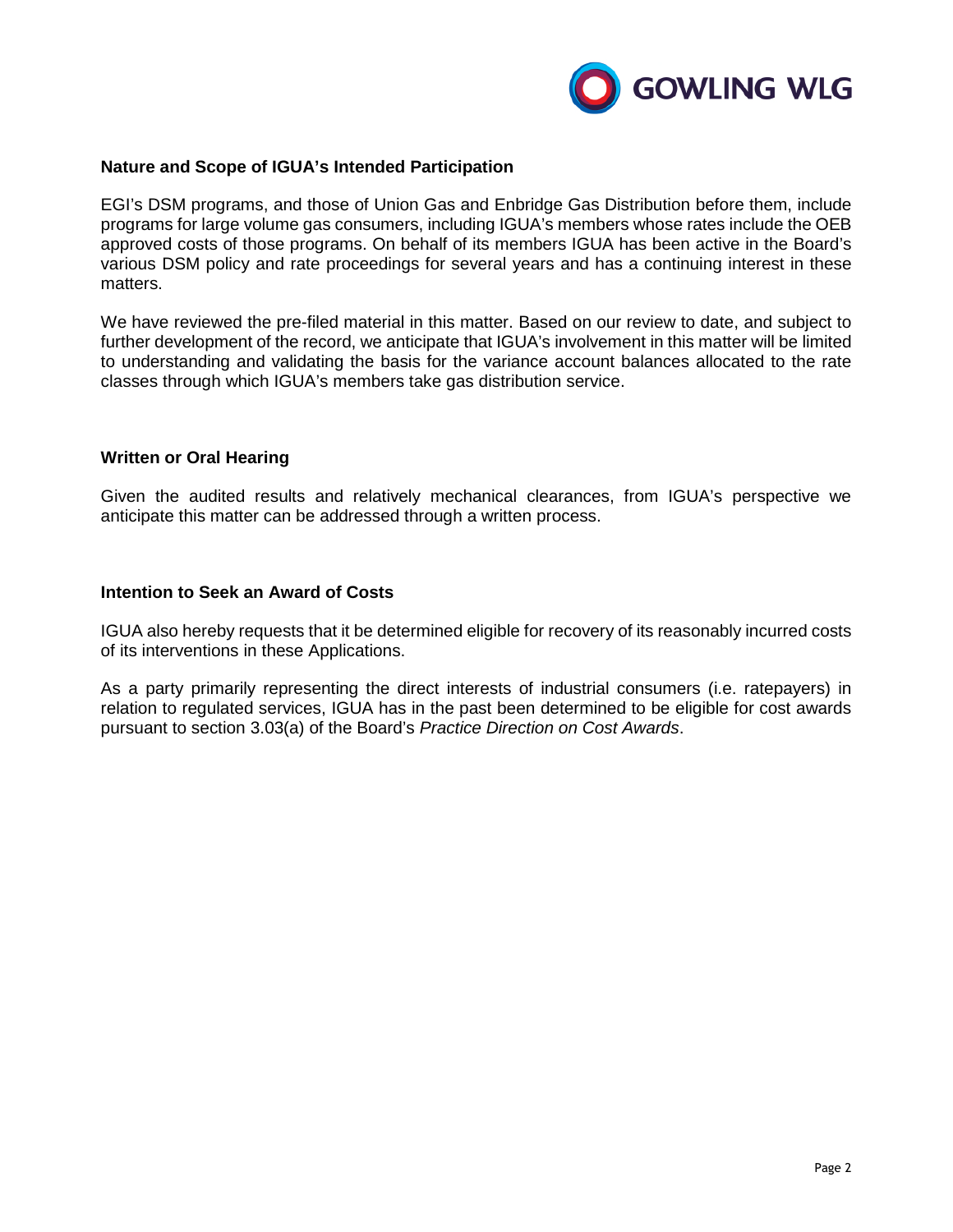

### **Nature and Scope of IGUA's Intended Participation**

EGI's DSM programs, and those of Union Gas and Enbridge Gas Distribution before them, include programs for large volume gas consumers, including IGUA's members whose rates include the OEB approved costs of those programs. On behalf of its members IGUA has been active in the Board's various DSM policy and rate proceedings for several years and has a continuing interest in these matters.

We have reviewed the pre-filed material in this matter. Based on our review to date, and subject to further development of the record, we anticipate that IGUA's involvement in this matter will be limited to understanding and validating the basis for the variance account balances allocated to the rate classes through which IGUA's members take gas distribution service.

### **Written or Oral Hearing**

Given the audited results and relatively mechanical clearances, from IGUA's perspective we anticipate this matter can be addressed through a written process.

### **Intention to Seek an Award of Costs**

IGUA also hereby requests that it be determined eligible for recovery of its reasonably incurred costs of its interventions in these Applications.

As a party primarily representing the direct interests of industrial consumers (i.e. ratepayers) in relation to regulated services, IGUA has in the past been determined to be eligible for cost awards pursuant to section 3.03(a) of the Board's *Practice Direction on Cost Awards*.